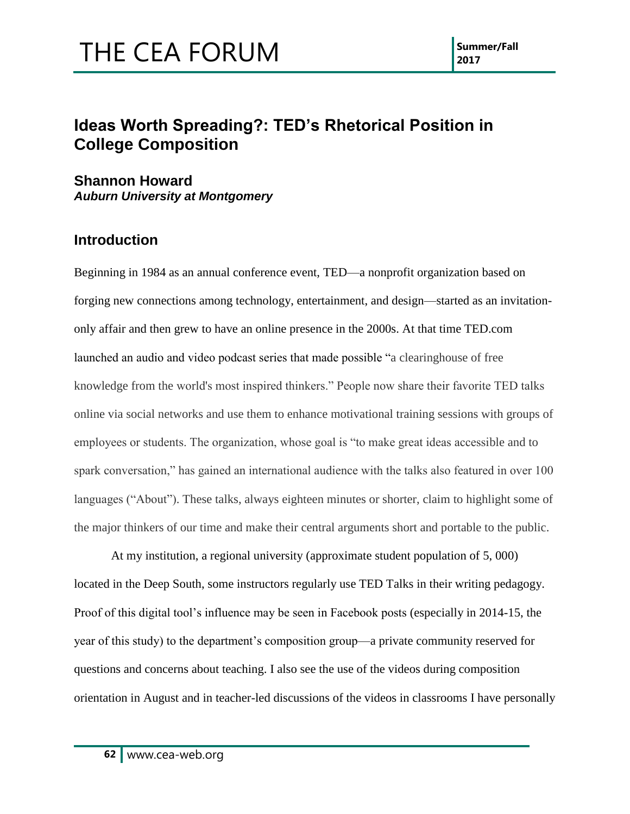### **Ideas Worth Spreading?: TED's Rhetorical Position in College Composition**

**Shannon Howard** *Auburn University at Montgomery*

#### **Introduction**

Beginning in 1984 as an annual conference event, TED—a nonprofit organization based on forging new connections among technology, entertainment, and design—started as an invitationonly affair and then grew to have an online presence in the 2000s. At that time TED.com launched an audio and video podcast series that made possible "a clearinghouse of free knowledge from the world's most inspired thinkers." People now share their favorite TED talks online via social networks and use them to enhance motivational training sessions with groups of employees or students. The organization, whose goal is "to make great ideas accessible and to spark conversation," has gained an international audience with the talks also featured in over 100 languages ("About"). These talks, always eighteen minutes or shorter, claim to highlight some of the major thinkers of our time and make their central arguments short and portable to the public.

At my institution, a regional university (approximate student population of 5, 000) located in the Deep South, some instructors regularly use TED Talks in their writing pedagogy. Proof of this digital tool's influence may be seen in Facebook posts (especially in 2014-15, the year of this study) to the department's composition group—a private community reserved for questions and concerns about teaching. I also see the use of the videos during composition orientation in August and in teacher-led discussions of the videos in classrooms I have personally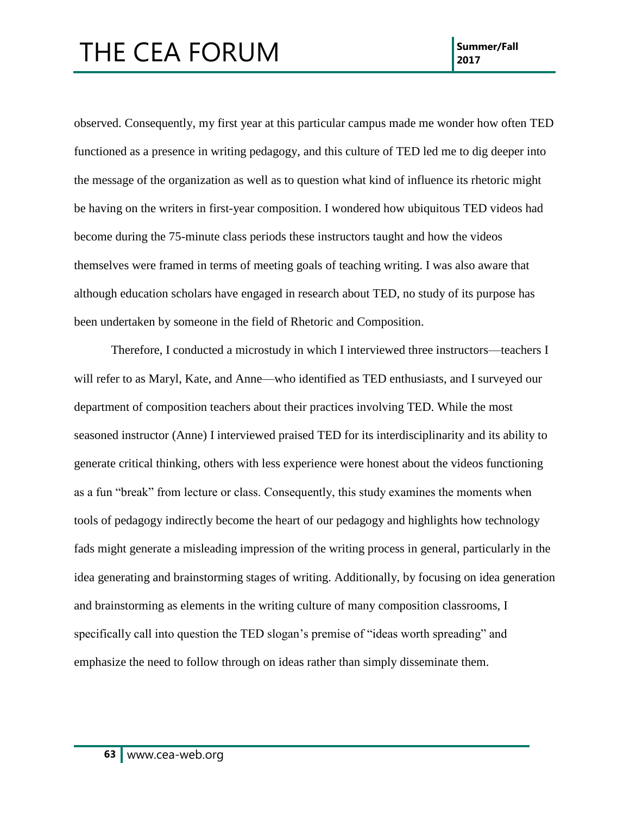observed. Consequently, my first year at this particular campus made me wonder how often TED functioned as a presence in writing pedagogy, and this culture of TED led me to dig deeper into the message of the organization as well as to question what kind of influence its rhetoric might be having on the writers in first-year composition. I wondered how ubiquitous TED videos had become during the 75-minute class periods these instructors taught and how the videos themselves were framed in terms of meeting goals of teaching writing. I was also aware that although education scholars have engaged in research about TED, no study of its purpose has been undertaken by someone in the field of Rhetoric and Composition.

Therefore, I conducted a microstudy in which I interviewed three instructors—teachers I will refer to as Maryl, Kate, and Anne—who identified as TED enthusiasts, and I surveyed our department of composition teachers about their practices involving TED. While the most seasoned instructor (Anne) I interviewed praised TED for its interdisciplinarity and its ability to generate critical thinking, others with less experience were honest about the videos functioning as a fun "break" from lecture or class. Consequently, this study examines the moments when tools of pedagogy indirectly become the heart of our pedagogy and highlights how technology fads might generate a misleading impression of the writing process in general, particularly in the idea generating and brainstorming stages of writing. Additionally, by focusing on idea generation and brainstorming as elements in the writing culture of many composition classrooms, I specifically call into question the TED slogan's premise of "ideas worth spreading" and emphasize the need to follow through on ideas rather than simply disseminate them.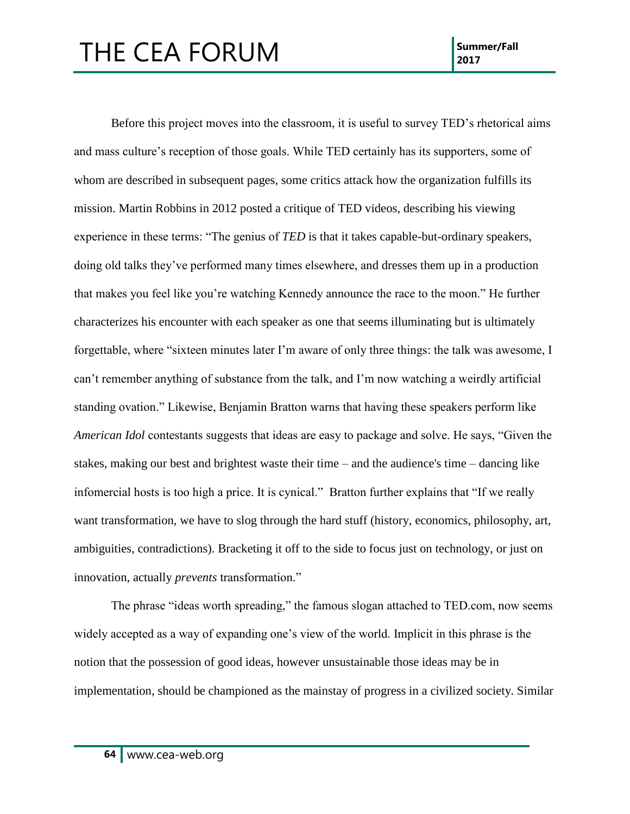Before this project moves into the classroom, it is useful to survey TED's rhetorical aims and mass culture's reception of those goals. While TED certainly has its supporters, some of whom are described in subsequent pages, some critics attack how the organization fulfills its mission. Martin Robbins in 2012 posted a critique of TED videos, describing his viewing experience in these terms: "The genius of *TED* is that it takes capable-but-ordinary speakers, doing old talks they've performed many times elsewhere, and dresses them up in a production that makes you feel like you're watching Kennedy announce the race to the moon." He further characterizes his encounter with each speaker as one that seems illuminating but is ultimately forgettable, where "sixteen minutes later I'm aware of only three things: the talk was awesome, I can't remember anything of substance from the talk, and I'm now watching a weirdly artificial standing ovation." Likewise, Benjamin Bratton warns that having these speakers perform like *American Idol* contestants suggests that ideas are easy to package and solve. He says, "Given the stakes, making our best and brightest waste their time – and the audience's time – dancing like infomercial hosts is too high a price. It is cynical." Bratton further explains that "If we really want transformation, we have to slog through the hard stuff (history, economics, philosophy, art, ambiguities, contradictions). Bracketing it off to the side to focus just on technology, or just on innovation, actually *prevents* transformation."

The phrase "ideas worth spreading," the famous slogan attached to TED.com, now seems widely accepted as a way of expanding one's view of the world. Implicit in this phrase is the notion that the possession of good ideas, however unsustainable those ideas may be in implementation, should be championed as the mainstay of progress in a civilized society. Similar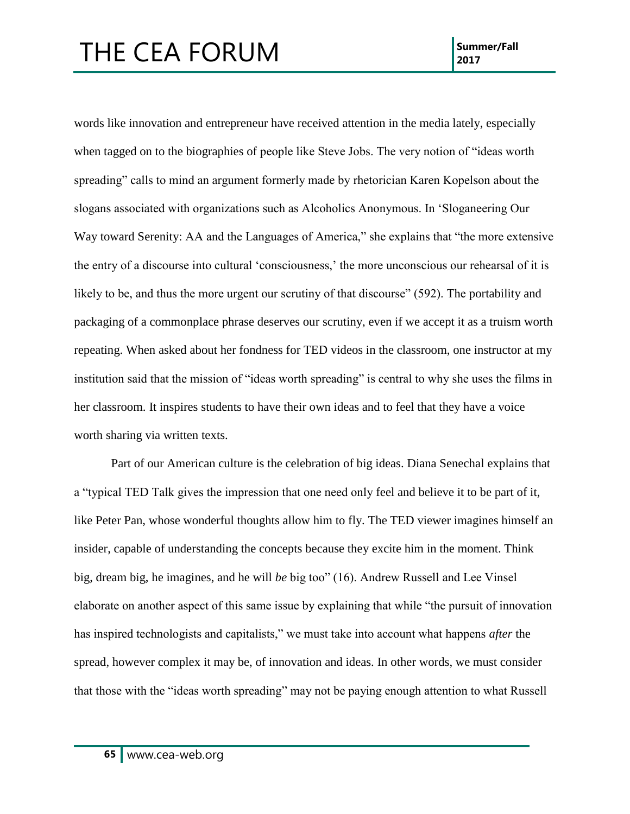words like innovation and entrepreneur have received attention in the media lately, especially when tagged on to the biographies of people like Steve Jobs. The very notion of "ideas worth spreading" calls to mind an argument formerly made by rhetorician Karen Kopelson about the slogans associated with organizations such as Alcoholics Anonymous. In 'Sloganeering Our Way toward Serenity: AA and the Languages of America," she explains that "the more extensive the entry of a discourse into cultural 'consciousness,' the more unconscious our rehearsal of it is likely to be, and thus the more urgent our scrutiny of that discourse" (592). The portability and packaging of a commonplace phrase deserves our scrutiny, even if we accept it as a truism worth repeating. When asked about her fondness for TED videos in the classroom, one instructor at my institution said that the mission of "ideas worth spreading" is central to why she uses the films in her classroom. It inspires students to have their own ideas and to feel that they have a voice worth sharing via written texts.

Part of our American culture is the celebration of big ideas. Diana Senechal explains that a "typical TED Talk gives the impression that one need only feel and believe it to be part of it, like Peter Pan, whose wonderful thoughts allow him to fly. The TED viewer imagines himself an insider, capable of understanding the concepts because they excite him in the moment. Think big, dream big, he imagines, and he will *be* big too" (16). Andrew Russell and Lee Vinsel elaborate on another aspect of this same issue by explaining that while "the pursuit of innovation has inspired technologists and capitalists," we must take into account what happens *after* the spread, however complex it may be, of innovation and ideas. In other words, we must consider that those with the "ideas worth spreading" may not be paying enough attention to what Russell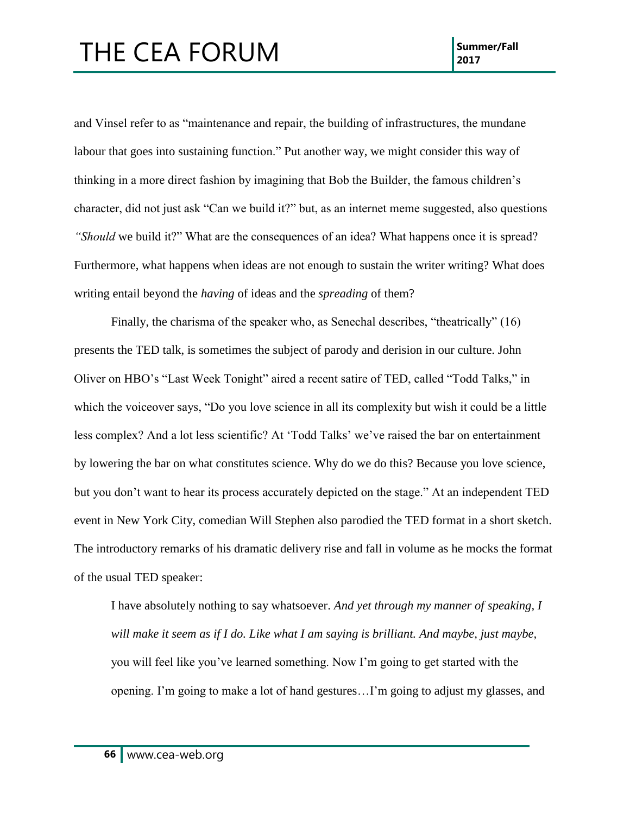and Vinsel refer to as "maintenance and repair, the building of infrastructures, the mundane labour that goes into sustaining function." Put another way, we might consider this way of thinking in a more direct fashion by imagining that Bob the Builder, the famous children's character, did not just ask "Can we build it?" but, as an internet meme suggested, also questions *"Should* we build it?" What are the consequences of an idea? What happens once it is spread? Furthermore, what happens when ideas are not enough to sustain the writer writing? What does writing entail beyond the *having* of ideas and the *spreading* of them?

Finally, the charisma of the speaker who, as Senechal describes, "theatrically" (16) presents the TED talk, is sometimes the subject of parody and derision in our culture. John Oliver on HBO's "Last Week Tonight" aired a recent satire of TED, called "Todd Talks," in which the voiceover says, "Do you love science in all its complexity but wish it could be a little less complex? And a lot less scientific? At 'Todd Talks' we've raised the bar on entertainment by lowering the bar on what constitutes science. Why do we do this? Because you love science, but you don't want to hear its process accurately depicted on the stage." At an independent TED event in New York City, comedian Will Stephen also parodied the TED format in a short sketch. The introductory remarks of his dramatic delivery rise and fall in volume as he mocks the format of the usual TED speaker:

I have absolutely nothing to say whatsoever. *And yet through my manner of speaking, I*  will make it seem as if I do. Like what I am saying is brilliant. And maybe, just maybe, you will feel like you've learned something. Now I'm going to get started with the opening. I'm going to make a lot of hand gestures…I'm going to adjust my glasses, and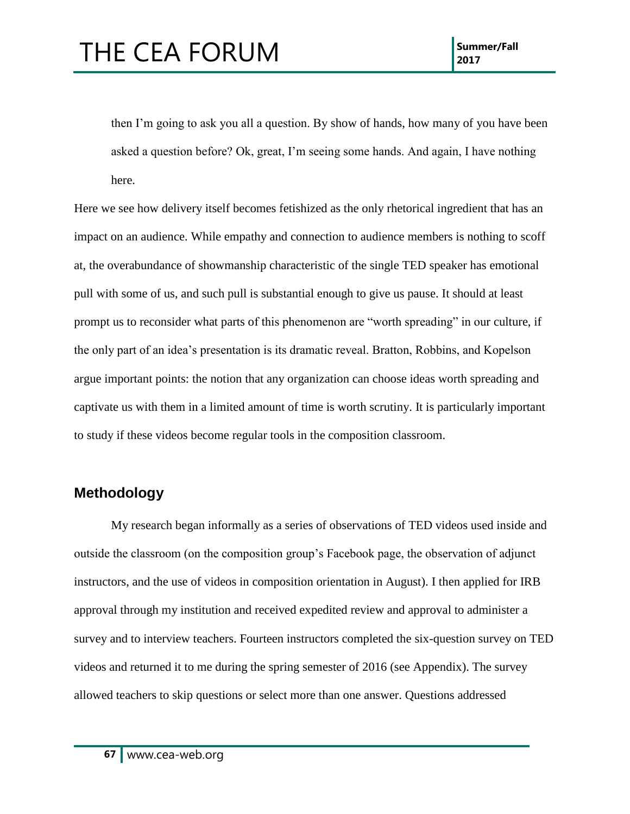then I'm going to ask you all a question. By show of hands, how many of you have been asked a question before? Ok, great, I'm seeing some hands. And again, I have nothing here.

Here we see how delivery itself becomes fetishized as the only rhetorical ingredient that has an impact on an audience. While empathy and connection to audience members is nothing to scoff at, the overabundance of showmanship characteristic of the single TED speaker has emotional pull with some of us, and such pull is substantial enough to give us pause. It should at least prompt us to reconsider what parts of this phenomenon are "worth spreading" in our culture, if the only part of an idea's presentation is its dramatic reveal. Bratton, Robbins, and Kopelson argue important points: the notion that any organization can choose ideas worth spreading and captivate us with them in a limited amount of time is worth scrutiny. It is particularly important to study if these videos become regular tools in the composition classroom.

#### **Methodology**

My research began informally as a series of observations of TED videos used inside and outside the classroom (on the composition group's Facebook page, the observation of adjunct instructors, and the use of videos in composition orientation in August). I then applied for IRB approval through my institution and received expedited review and approval to administer a survey and to interview teachers. Fourteen instructors completed the six-question survey on TED videos and returned it to me during the spring semester of 2016 (see Appendix). The survey allowed teachers to skip questions or select more than one answer. Questions addressed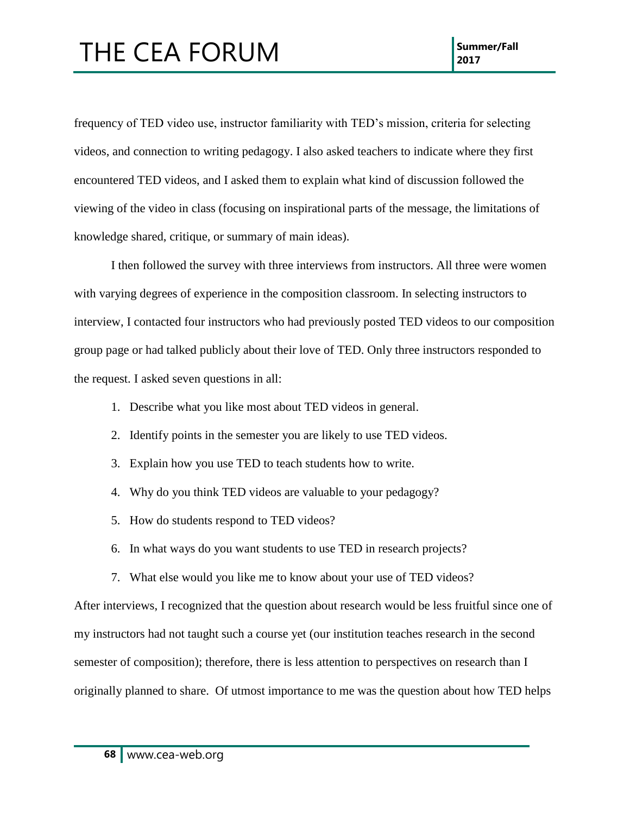frequency of TED video use, instructor familiarity with TED's mission, criteria for selecting videos, and connection to writing pedagogy. I also asked teachers to indicate where they first encountered TED videos, and I asked them to explain what kind of discussion followed the viewing of the video in class (focusing on inspirational parts of the message, the limitations of knowledge shared, critique, or summary of main ideas).

I then followed the survey with three interviews from instructors. All three were women with varying degrees of experience in the composition classroom. In selecting instructors to interview, I contacted four instructors who had previously posted TED videos to our composition group page or had talked publicly about their love of TED. Only three instructors responded to the request. I asked seven questions in all:

- 1. Describe what you like most about TED videos in general.
- 2. Identify points in the semester you are likely to use TED videos.
- 3. Explain how you use TED to teach students how to write.
- 4. Why do you think TED videos are valuable to your pedagogy?
- 5. How do students respond to TED videos?
- 6. In what ways do you want students to use TED in research projects?
- 7. What else would you like me to know about your use of TED videos?

After interviews, I recognized that the question about research would be less fruitful since one of my instructors had not taught such a course yet (our institution teaches research in the second semester of composition); therefore, there is less attention to perspectives on research than I originally planned to share. Of utmost importance to me was the question about how TED helps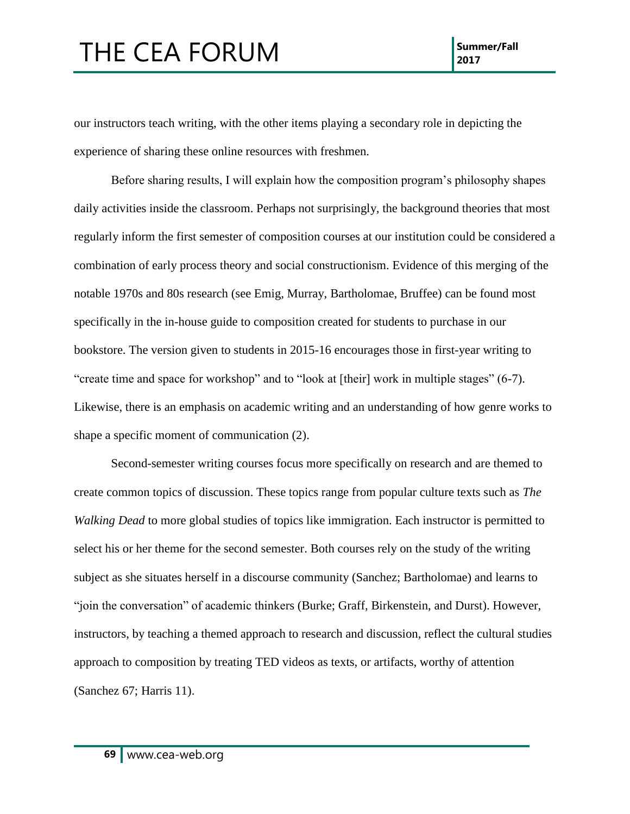our instructors teach writing, with the other items playing a secondary role in depicting the experience of sharing these online resources with freshmen.

Before sharing results, I will explain how the composition program's philosophy shapes daily activities inside the classroom. Perhaps not surprisingly, the background theories that most regularly inform the first semester of composition courses at our institution could be considered a combination of early process theory and social constructionism. Evidence of this merging of the notable 1970s and 80s research (see Emig, Murray, Bartholomae, Bruffee) can be found most specifically in the in-house guide to composition created for students to purchase in our bookstore. The version given to students in 2015-16 encourages those in first-year writing to "create time and space for workshop" and to "look at [their] work in multiple stages" (6-7). Likewise, there is an emphasis on academic writing and an understanding of how genre works to shape a specific moment of communication (2).

Second-semester writing courses focus more specifically on research and are themed to create common topics of discussion. These topics range from popular culture texts such as *The Walking Dead* to more global studies of topics like immigration. Each instructor is permitted to select his or her theme for the second semester. Both courses rely on the study of the writing subject as she situates herself in a discourse community (Sanchez; Bartholomae) and learns to "join the conversation" of academic thinkers (Burke; Graff, Birkenstein, and Durst). However, instructors, by teaching a themed approach to research and discussion, reflect the cultural studies approach to composition by treating TED videos as texts, or artifacts, worthy of attention (Sanchez 67; Harris 11).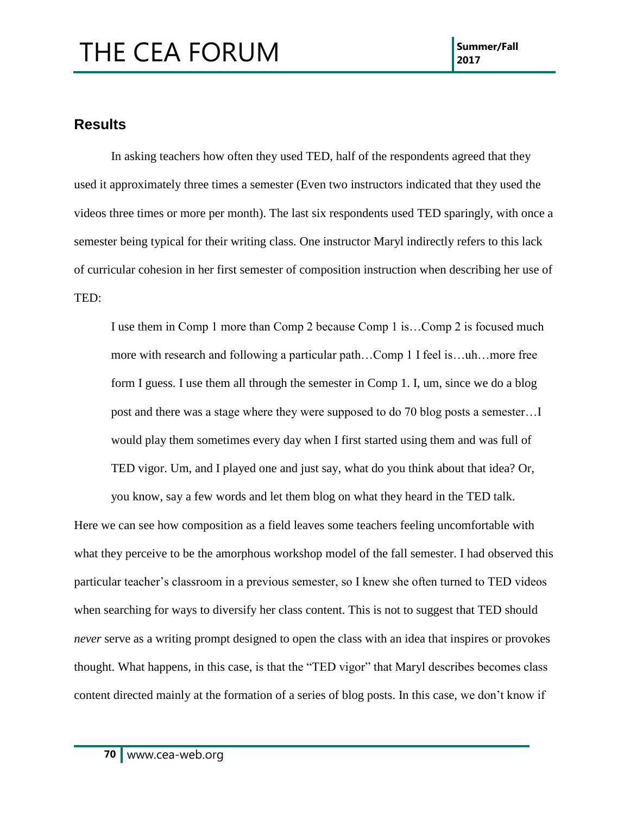#### **Results**

In asking teachers how often they used TED, half of the respondents agreed that they used it approximately three times a semester (Even two instructors indicated that they used the videos three times or more per month). The last six respondents used TED sparingly, with once a semester being typical for their writing class. One instructor Maryl indirectly refers to this lack of curricular cohesion in her first semester of composition instruction when describing her use of TED:

I use them in Comp 1 more than Comp 2 because Comp 1 is…Comp 2 is focused much more with research and following a particular path…Comp 1 I feel is…uh…more free form I guess. I use them all through the semester in Comp 1. I, um, since we do a blog post and there was a stage where they were supposed to do 70 blog posts a semester…I would play them sometimes every day when I first started using them and was full of TED vigor. Um, and I played one and just say, what do you think about that idea? Or,

you know, say a few words and let them blog on what they heard in the TED talk. Here we can see how composition as a field leaves some teachers feeling uncomfortable with what they perceive to be the amorphous workshop model of the fall semester. I had observed this particular teacher's classroom in a previous semester, so I knew she often turned to TED videos when searching for ways to diversify her class content. This is not to suggest that TED should *never* serve as a writing prompt designed to open the class with an idea that inspires or provokes thought. What happens, in this case, is that the "TED vigor" that Maryl describes becomes class content directed mainly at the formation of a series of blog posts. In this case, we don't know if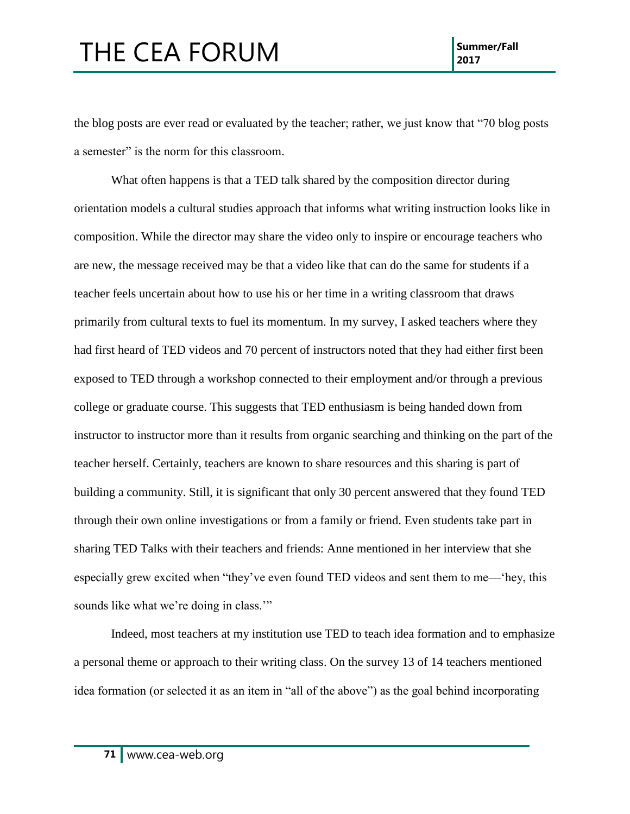the blog posts are ever read or evaluated by the teacher; rather, we just know that "70 blog posts a semester" is the norm for this classroom.

What often happens is that a TED talk shared by the composition director during orientation models a cultural studies approach that informs what writing instruction looks like in composition. While the director may share the video only to inspire or encourage teachers who are new, the message received may be that a video like that can do the same for students if a teacher feels uncertain about how to use his or her time in a writing classroom that draws primarily from cultural texts to fuel its momentum. In my survey, I asked teachers where they had first heard of TED videos and 70 percent of instructors noted that they had either first been exposed to TED through a workshop connected to their employment and/or through a previous college or graduate course. This suggests that TED enthusiasm is being handed down from instructor to instructor more than it results from organic searching and thinking on the part of the teacher herself. Certainly, teachers are known to share resources and this sharing is part of building a community. Still, it is significant that only 30 percent answered that they found TED through their own online investigations or from a family or friend. Even students take part in sharing TED Talks with their teachers and friends: Anne mentioned in her interview that she especially grew excited when "they've even found TED videos and sent them to me—'hey, this sounds like what we're doing in class."

Indeed, most teachers at my institution use TED to teach idea formation and to emphasize a personal theme or approach to their writing class. On the survey 13 of 14 teachers mentioned idea formation (or selected it as an item in "all of the above") as the goal behind incorporating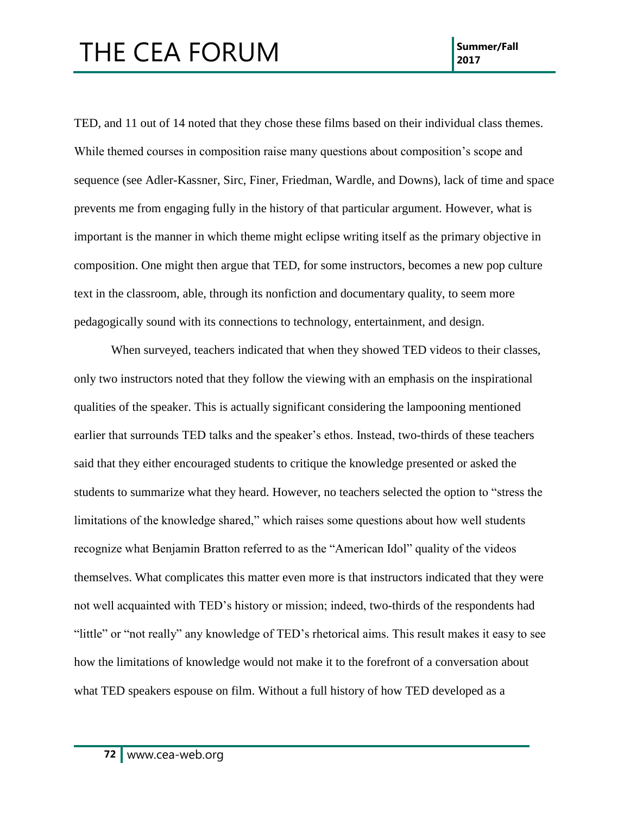TED, and 11 out of 14 noted that they chose these films based on their individual class themes. While themed courses in composition raise many questions about composition's scope and sequence (see Adler-Kassner, Sirc, Finer, Friedman, Wardle, and Downs), lack of time and space prevents me from engaging fully in the history of that particular argument. However, what is important is the manner in which theme might eclipse writing itself as the primary objective in composition. One might then argue that TED, for some instructors, becomes a new pop culture text in the classroom, able, through its nonfiction and documentary quality, to seem more pedagogically sound with its connections to technology, entertainment, and design.

When surveyed, teachers indicated that when they showed TED videos to their classes, only two instructors noted that they follow the viewing with an emphasis on the inspirational qualities of the speaker. This is actually significant considering the lampooning mentioned earlier that surrounds TED talks and the speaker's ethos. Instead, two-thirds of these teachers said that they either encouraged students to critique the knowledge presented or asked the students to summarize what they heard. However, no teachers selected the option to "stress the limitations of the knowledge shared," which raises some questions about how well students recognize what Benjamin Bratton referred to as the "American Idol" quality of the videos themselves. What complicates this matter even more is that instructors indicated that they were not well acquainted with TED's history or mission; indeed, two-thirds of the respondents had "little" or "not really" any knowledge of TED's rhetorical aims. This result makes it easy to see how the limitations of knowledge would not make it to the forefront of a conversation about what TED speakers espouse on film. Without a full history of how TED developed as a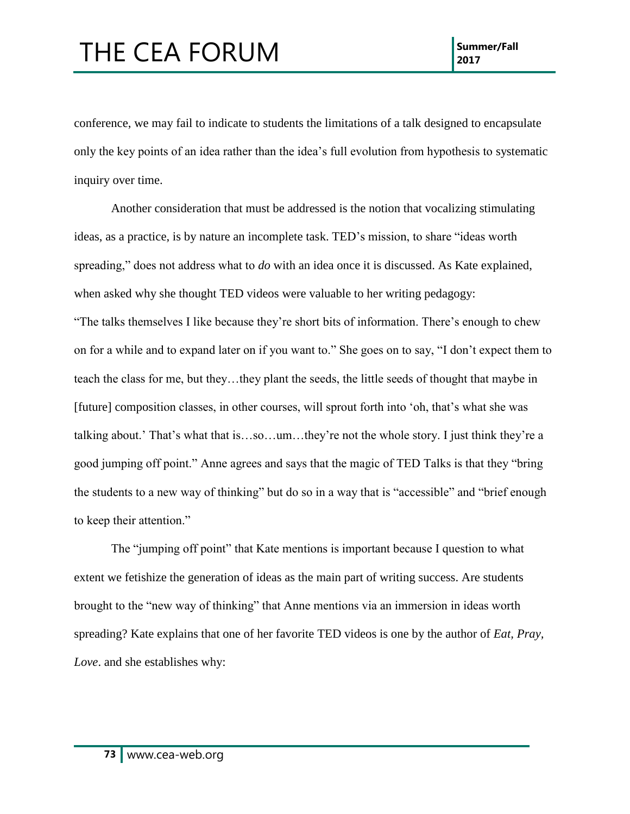conference, we may fail to indicate to students the limitations of a talk designed to encapsulate only the key points of an idea rather than the idea's full evolution from hypothesis to systematic inquiry over time.

Another consideration that must be addressed is the notion that vocalizing stimulating ideas, as a practice, is by nature an incomplete task. TED's mission, to share "ideas worth spreading," does not address what to *do* with an idea once it is discussed. As Kate explained, when asked why she thought TED videos were valuable to her writing pedagogy: "The talks themselves I like because they're short bits of information. There's enough to chew on for a while and to expand later on if you want to." She goes on to say, "I don't expect them to teach the class for me, but they…they plant the seeds, the little seeds of thought that maybe in [future] composition classes, in other courses, will sprout forth into 'oh, that's what she was talking about.' That's what that is…so…um…they're not the whole story. I just think they're a good jumping off point." Anne agrees and says that the magic of TED Talks is that they "bring the students to a new way of thinking" but do so in a way that is "accessible" and "brief enough to keep their attention."

The "jumping off point" that Kate mentions is important because I question to what extent we fetishize the generation of ideas as the main part of writing success. Are students brought to the "new way of thinking" that Anne mentions via an immersion in ideas worth spreading? Kate explains that one of her favorite TED videos is one by the author of *Eat, Pray, Love*. and she establishes why: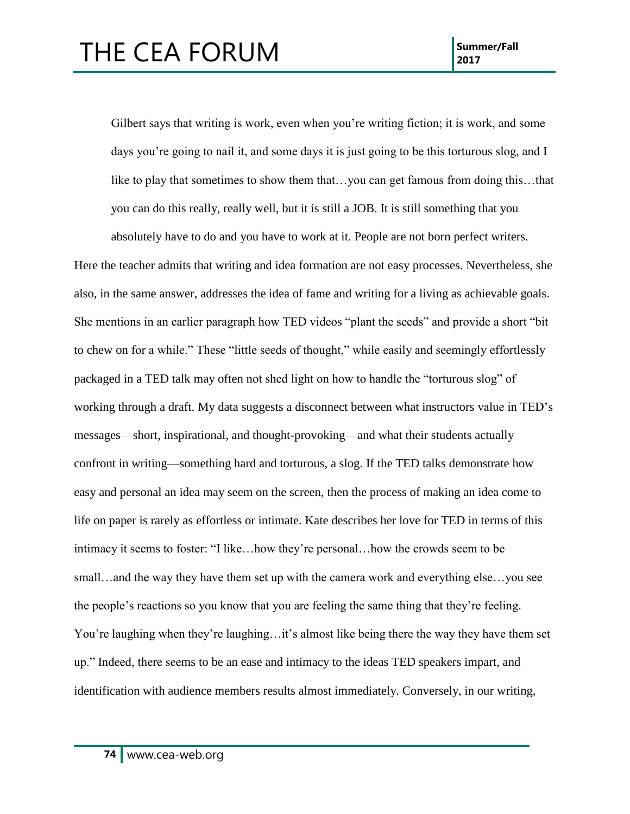Gilbert says that writing is work, even when you're writing fiction; it is work, and some days you're going to nail it, and some days it is just going to be this torturous slog, and I like to play that sometimes to show them that…you can get famous from doing this…that you can do this really, really well, but it is still a JOB. It is still something that you absolutely have to do and you have to work at it. People are not born perfect writers.

Here the teacher admits that writing and idea formation are not easy processes. Nevertheless, she also, in the same answer, addresses the idea of fame and writing for a living as achievable goals. She mentions in an earlier paragraph how TED videos "plant the seeds" and provide a short "bit to chew on for a while." These "little seeds of thought," while easily and seemingly effortlessly packaged in a TED talk may often not shed light on how to handle the "torturous slog" of working through a draft. My data suggests a disconnect between what instructors value in TED's messages—short, inspirational, and thought-provoking—and what their students actually confront in writing—something hard and torturous, a slog. If the TED talks demonstrate how easy and personal an idea may seem on the screen, then the process of making an idea come to life on paper is rarely as effortless or intimate. Kate describes her love for TED in terms of this intimacy it seems to foster: "I like…how they're personal…how the crowds seem to be small…and the way they have them set up with the camera work and everything else…you see the people's reactions so you know that you are feeling the same thing that they're feeling. You're laughing when they're laughing...it's almost like being there the way they have them set up." Indeed, there seems to be an ease and intimacy to the ideas TED speakers impart, and identification with audience members results almost immediately. Conversely, in our writing,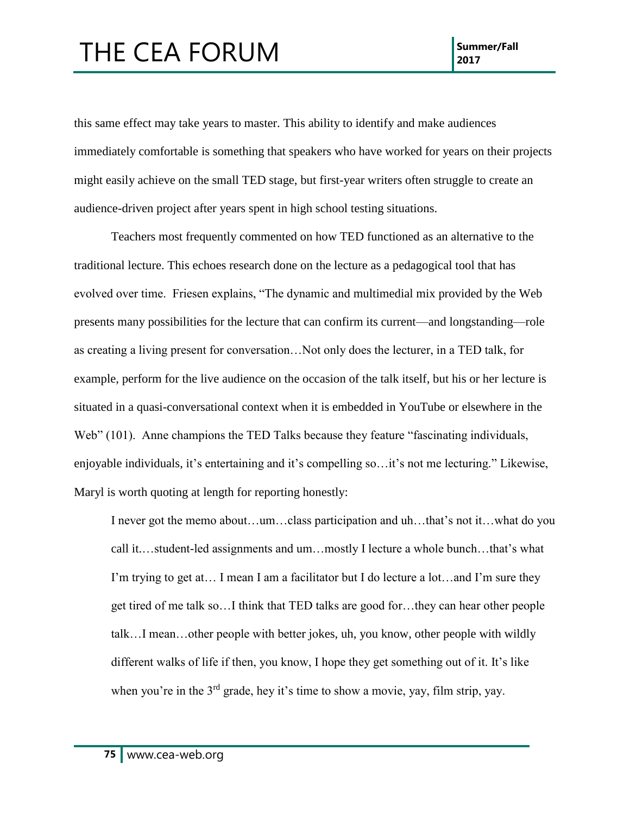this same effect may take years to master. This ability to identify and make audiences immediately comfortable is something that speakers who have worked for years on their projects might easily achieve on the small TED stage, but first-year writers often struggle to create an audience-driven project after years spent in high school testing situations.

Teachers most frequently commented on how TED functioned as an alternative to the traditional lecture. This echoes research done on the lecture as a pedagogical tool that has evolved over time. Friesen explains, "The dynamic and multimedial mix provided by the Web presents many possibilities for the lecture that can confirm its current—and longstanding—role as creating a living present for conversation…Not only does the lecturer, in a TED talk, for example, perform for the live audience on the occasion of the talk itself, but his or her lecture is situated in a quasi-conversational context when it is embedded in YouTube or elsewhere in the Web" (101). Anne champions the TED Talks because they feature "fascinating individuals, enjoyable individuals, it's entertaining and it's compelling so…it's not me lecturing." Likewise, Maryl is worth quoting at length for reporting honestly:

I never got the memo about…um…class participation and uh…that's not it…what do you call it.…student-led assignments and um…mostly I lecture a whole bunch…that's what I'm trying to get at… I mean I am a facilitator but I do lecture a lot…and I'm sure they get tired of me talk so…I think that TED talks are good for…they can hear other people talk…I mean…other people with better jokes, uh, you know, other people with wildly different walks of life if then, you know, I hope they get something out of it. It's like when you're in the  $3<sup>rd</sup>$  grade, hey it's time to show a movie, yay, film strip, yay.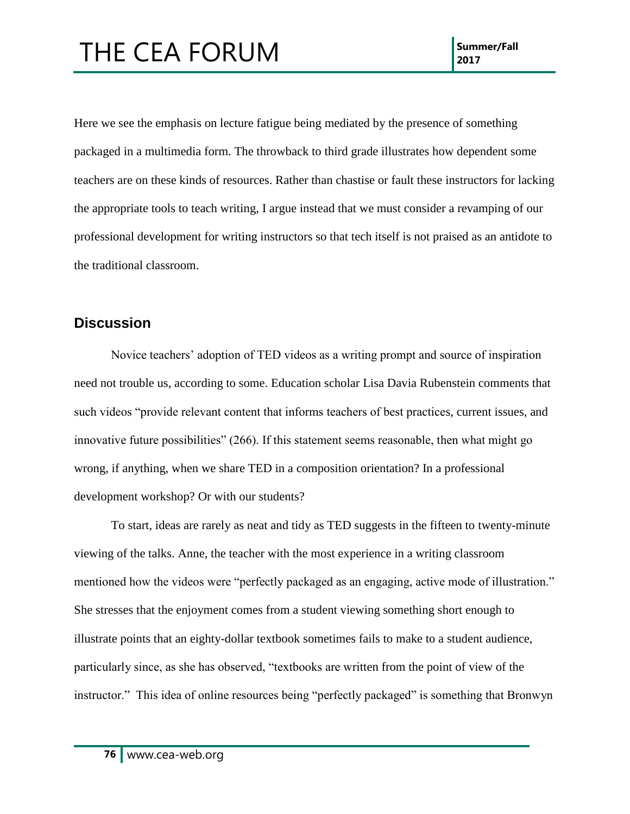Here we see the emphasis on lecture fatigue being mediated by the presence of something packaged in a multimedia form. The throwback to third grade illustrates how dependent some teachers are on these kinds of resources. Rather than chastise or fault these instructors for lacking the appropriate tools to teach writing, I argue instead that we must consider a revamping of our professional development for writing instructors so that tech itself is not praised as an antidote to the traditional classroom.

#### **Discussion**

Novice teachers' adoption of TED videos as a writing prompt and source of inspiration need not trouble us, according to some. Education scholar Lisa Davia Rubenstein comments that such videos "provide relevant content that informs teachers of best practices, current issues, and innovative future possibilities" (266). If this statement seems reasonable, then what might go wrong, if anything, when we share TED in a composition orientation? In a professional development workshop? Or with our students?

To start, ideas are rarely as neat and tidy as TED suggests in the fifteen to twenty-minute viewing of the talks. Anne, the teacher with the most experience in a writing classroom mentioned how the videos were "perfectly packaged as an engaging, active mode of illustration." She stresses that the enjoyment comes from a student viewing something short enough to illustrate points that an eighty-dollar textbook sometimes fails to make to a student audience, particularly since, as she has observed, "textbooks are written from the point of view of the instructor." This idea of online resources being "perfectly packaged" is something that Bronwyn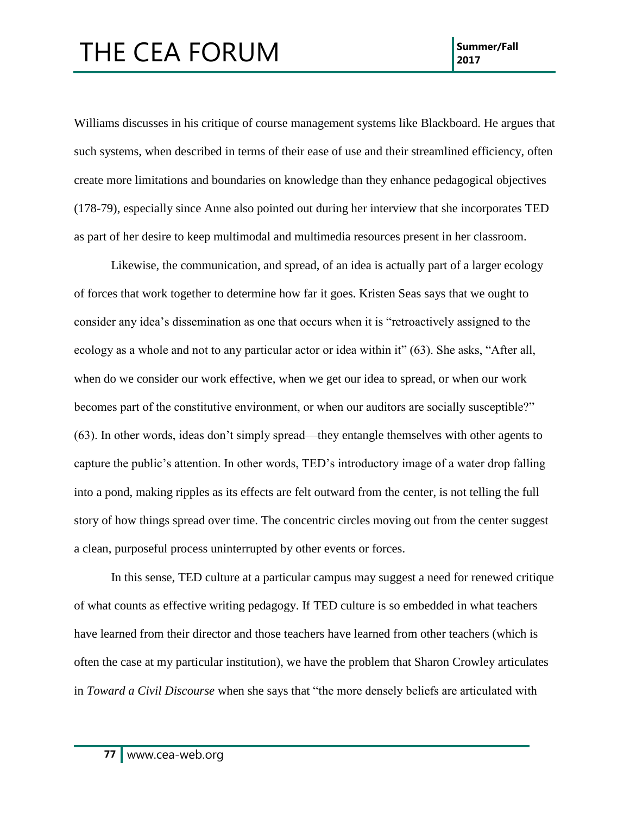Williams discusses in his critique of course management systems like Blackboard. He argues that such systems, when described in terms of their ease of use and their streamlined efficiency, often create more limitations and boundaries on knowledge than they enhance pedagogical objectives (178-79), especially since Anne also pointed out during her interview that she incorporates TED as part of her desire to keep multimodal and multimedia resources present in her classroom.

Likewise, the communication, and spread, of an idea is actually part of a larger ecology of forces that work together to determine how far it goes. Kristen Seas says that we ought to consider any idea's dissemination as one that occurs when it is "retroactively assigned to the ecology as a whole and not to any particular actor or idea within it" (63). She asks, "After all, when do we consider our work effective, when we get our idea to spread, or when our work becomes part of the constitutive environment, or when our auditors are socially susceptible?" (63). In other words, ideas don't simply spread—they entangle themselves with other agents to capture the public's attention. In other words, TED's introductory image of a water drop falling into a pond, making ripples as its effects are felt outward from the center, is not telling the full story of how things spread over time. The concentric circles moving out from the center suggest a clean, purposeful process uninterrupted by other events or forces.

In this sense, TED culture at a particular campus may suggest a need for renewed critique of what counts as effective writing pedagogy. If TED culture is so embedded in what teachers have learned from their director and those teachers have learned from other teachers (which is often the case at my particular institution), we have the problem that Sharon Crowley articulates in *Toward a Civil Discourse* when she says that "the more densely beliefs are articulated with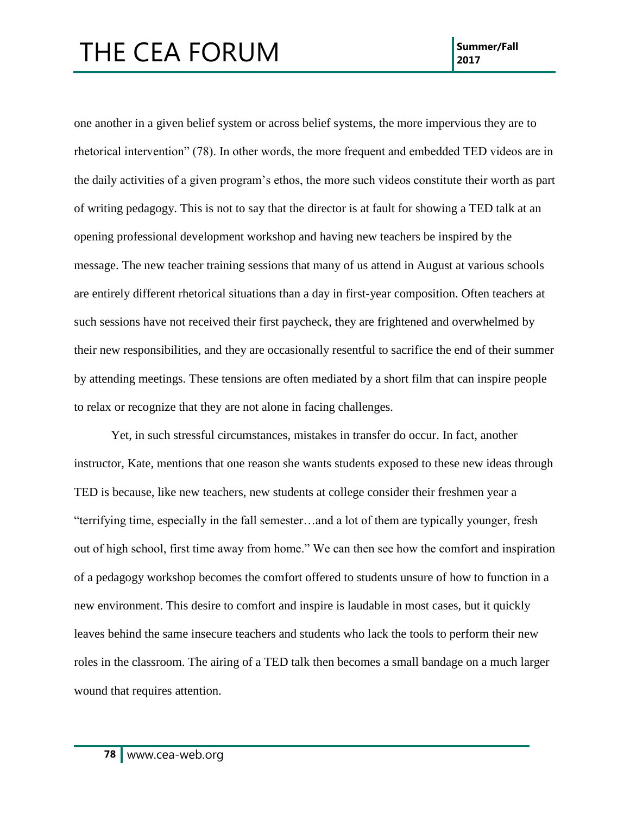one another in a given belief system or across belief systems, the more impervious they are to rhetorical intervention" (78). In other words, the more frequent and embedded TED videos are in the daily activities of a given program's ethos, the more such videos constitute their worth as part of writing pedagogy. This is not to say that the director is at fault for showing a TED talk at an opening professional development workshop and having new teachers be inspired by the message. The new teacher training sessions that many of us attend in August at various schools are entirely different rhetorical situations than a day in first-year composition. Often teachers at such sessions have not received their first paycheck, they are frightened and overwhelmed by their new responsibilities, and they are occasionally resentful to sacrifice the end of their summer by attending meetings. These tensions are often mediated by a short film that can inspire people to relax or recognize that they are not alone in facing challenges.

Yet, in such stressful circumstances, mistakes in transfer do occur. In fact, another instructor, Kate, mentions that one reason she wants students exposed to these new ideas through TED is because, like new teachers, new students at college consider their freshmen year a "terrifying time, especially in the fall semester…and a lot of them are typically younger, fresh out of high school, first time away from home." We can then see how the comfort and inspiration of a pedagogy workshop becomes the comfort offered to students unsure of how to function in a new environment. This desire to comfort and inspire is laudable in most cases, but it quickly leaves behind the same insecure teachers and students who lack the tools to perform their new roles in the classroom. The airing of a TED talk then becomes a small bandage on a much larger wound that requires attention.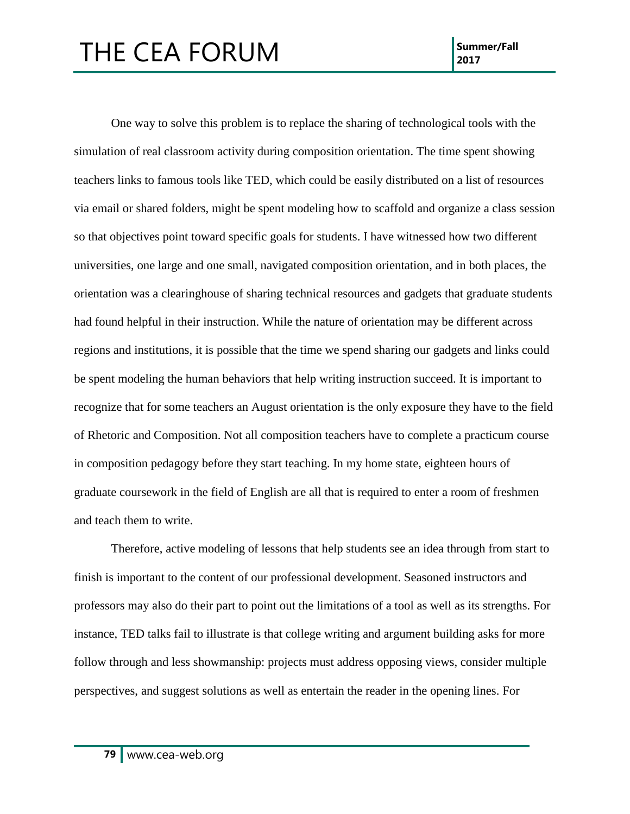One way to solve this problem is to replace the sharing of technological tools with the simulation of real classroom activity during composition orientation. The time spent showing teachers links to famous tools like TED, which could be easily distributed on a list of resources via email or shared folders, might be spent modeling how to scaffold and organize a class session so that objectives point toward specific goals for students. I have witnessed how two different universities, one large and one small, navigated composition orientation, and in both places, the orientation was a clearinghouse of sharing technical resources and gadgets that graduate students had found helpful in their instruction. While the nature of orientation may be different across regions and institutions, it is possible that the time we spend sharing our gadgets and links could be spent modeling the human behaviors that help writing instruction succeed. It is important to recognize that for some teachers an August orientation is the only exposure they have to the field of Rhetoric and Composition. Not all composition teachers have to complete a practicum course in composition pedagogy before they start teaching. In my home state, eighteen hours of graduate coursework in the field of English are all that is required to enter a room of freshmen and teach them to write.

Therefore, active modeling of lessons that help students see an idea through from start to finish is important to the content of our professional development. Seasoned instructors and professors may also do their part to point out the limitations of a tool as well as its strengths. For instance, TED talks fail to illustrate is that college writing and argument building asks for more follow through and less showmanship: projects must address opposing views, consider multiple perspectives, and suggest solutions as well as entertain the reader in the opening lines. For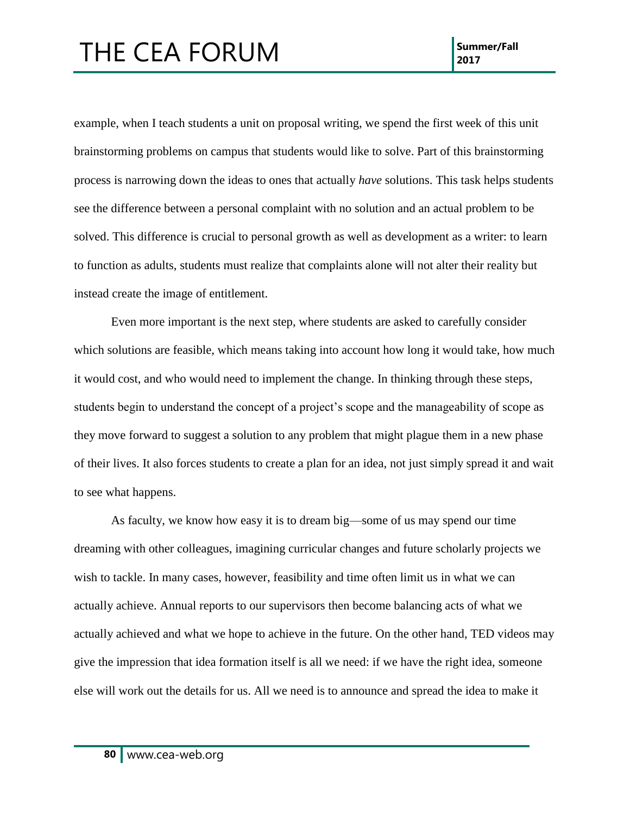example, when I teach students a unit on proposal writing, we spend the first week of this unit brainstorming problems on campus that students would like to solve. Part of this brainstorming process is narrowing down the ideas to ones that actually *have* solutions. This task helps students see the difference between a personal complaint with no solution and an actual problem to be solved. This difference is crucial to personal growth as well as development as a writer: to learn to function as adults, students must realize that complaints alone will not alter their reality but instead create the image of entitlement.

Even more important is the next step, where students are asked to carefully consider which solutions are feasible, which means taking into account how long it would take, how much it would cost, and who would need to implement the change. In thinking through these steps, students begin to understand the concept of a project's scope and the manageability of scope as they move forward to suggest a solution to any problem that might plague them in a new phase of their lives. It also forces students to create a plan for an idea, not just simply spread it and wait to see what happens.

As faculty, we know how easy it is to dream big—some of us may spend our time dreaming with other colleagues, imagining curricular changes and future scholarly projects we wish to tackle. In many cases, however, feasibility and time often limit us in what we can actually achieve. Annual reports to our supervisors then become balancing acts of what we actually achieved and what we hope to achieve in the future. On the other hand, TED videos may give the impression that idea formation itself is all we need: if we have the right idea, someone else will work out the details for us. All we need is to announce and spread the idea to make it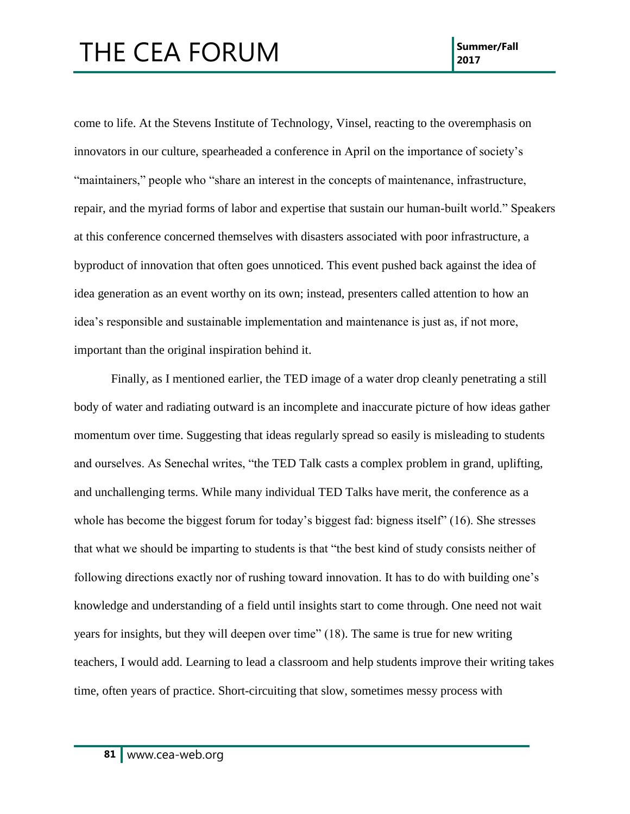come to life. At the Stevens Institute of Technology, Vinsel, reacting to the overemphasis on innovators in our culture, spearheaded a conference in April on the importance of society's "maintainers," people who "share an interest in the concepts of maintenance, infrastructure, repair, and the myriad forms of labor and expertise that sustain our human-built world." Speakers at this conference concerned themselves with disasters associated with poor infrastructure, a byproduct of innovation that often goes unnoticed. This event pushed back against the idea of idea generation as an event worthy on its own; instead, presenters called attention to how an idea's responsible and sustainable implementation and maintenance is just as, if not more, important than the original inspiration behind it.

Finally, as I mentioned earlier, the TED image of a water drop cleanly penetrating a still body of water and radiating outward is an incomplete and inaccurate picture of how ideas gather momentum over time. Suggesting that ideas regularly spread so easily is misleading to students and ourselves. As Senechal writes, "the TED Talk casts a complex problem in grand, uplifting, and unchallenging terms. While many individual TED Talks have merit, the conference as a whole has become the biggest forum for today's biggest fad: bigness itself" (16). She stresses that what we should be imparting to students is that "the best kind of study consists neither of following directions exactly nor of rushing toward innovation. It has to do with building one's knowledge and understanding of a field until insights start to come through. One need not wait years for insights, but they will deepen over time" (18). The same is true for new writing teachers, I would add. Learning to lead a classroom and help students improve their writing takes time, often years of practice. Short-circuiting that slow, sometimes messy process with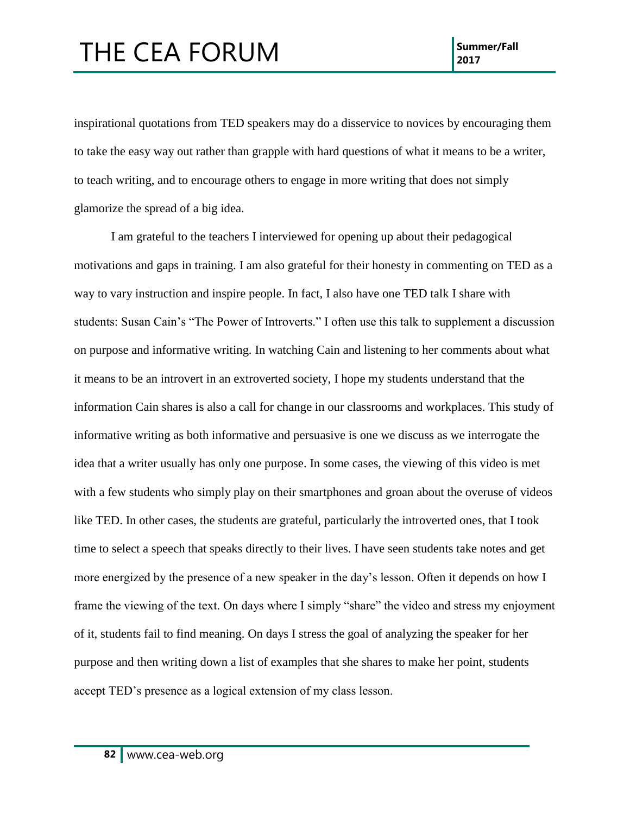inspirational quotations from TED speakers may do a disservice to novices by encouraging them to take the easy way out rather than grapple with hard questions of what it means to be a writer, to teach writing, and to encourage others to engage in more writing that does not simply glamorize the spread of a big idea.

I am grateful to the teachers I interviewed for opening up about their pedagogical motivations and gaps in training. I am also grateful for their honesty in commenting on TED as a way to vary instruction and inspire people. In fact, I also have one TED talk I share with students: Susan Cain's "The Power of Introverts." I often use this talk to supplement a discussion on purpose and informative writing. In watching Cain and listening to her comments about what it means to be an introvert in an extroverted society, I hope my students understand that the information Cain shares is also a call for change in our classrooms and workplaces. This study of informative writing as both informative and persuasive is one we discuss as we interrogate the idea that a writer usually has only one purpose. In some cases, the viewing of this video is met with a few students who simply play on their smartphones and groan about the overuse of videos like TED. In other cases, the students are grateful, particularly the introverted ones, that I took time to select a speech that speaks directly to their lives. I have seen students take notes and get more energized by the presence of a new speaker in the day's lesson. Often it depends on how I frame the viewing of the text. On days where I simply "share" the video and stress my enjoyment of it, students fail to find meaning. On days I stress the goal of analyzing the speaker for her purpose and then writing down a list of examples that she shares to make her point, students accept TED's presence as a logical extension of my class lesson.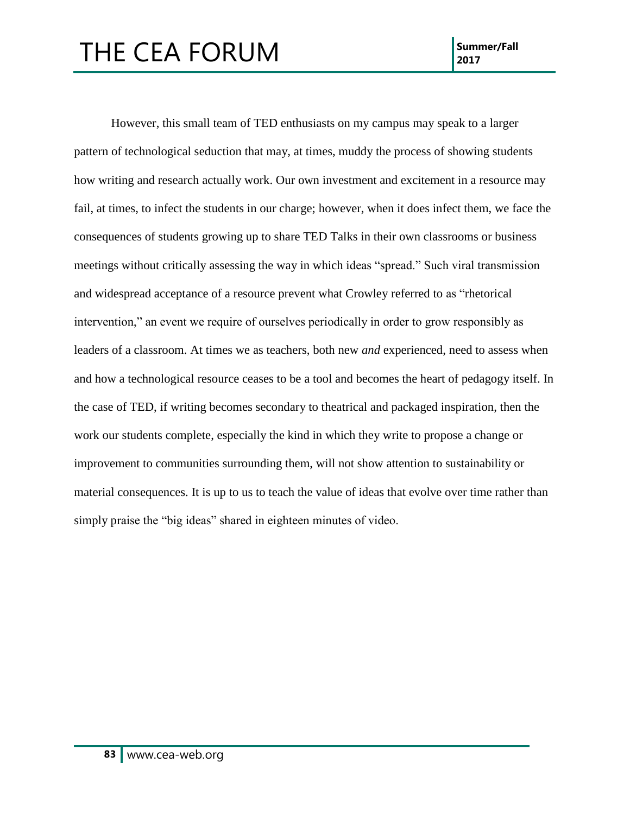However, this small team of TED enthusiasts on my campus may speak to a larger pattern of technological seduction that may, at times, muddy the process of showing students how writing and research actually work. Our own investment and excitement in a resource may fail, at times, to infect the students in our charge; however, when it does infect them, we face the consequences of students growing up to share TED Talks in their own classrooms or business meetings without critically assessing the way in which ideas "spread." Such viral transmission and widespread acceptance of a resource prevent what Crowley referred to as "rhetorical intervention," an event we require of ourselves periodically in order to grow responsibly as leaders of a classroom. At times we as teachers, both new *and* experienced, need to assess when and how a technological resource ceases to be a tool and becomes the heart of pedagogy itself. In the case of TED, if writing becomes secondary to theatrical and packaged inspiration, then the work our students complete, especially the kind in which they write to propose a change or improvement to communities surrounding them, will not show attention to sustainability or material consequences. It is up to us to teach the value of ideas that evolve over time rather than simply praise the "big ideas" shared in eighteen minutes of video.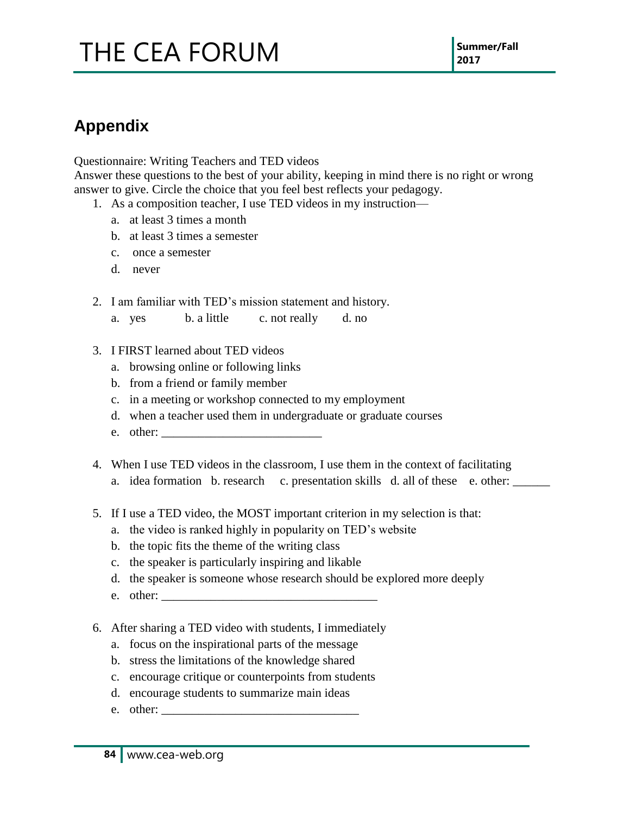### **Appendix**

Questionnaire: Writing Teachers and TED videos

Answer these questions to the best of your ability, keeping in mind there is no right or wrong answer to give. Circle the choice that you feel best reflects your pedagogy.

- 1. As a composition teacher, I use TED videos in my instruction
	- a. at least 3 times a month
	- b. at least 3 times a semester
	- c. once a semester
	- d. never
- 2. I am familiar with TED's mission statement and history.
	- a. yes b. a little c. not really d. no
- 3. I FIRST learned about TED videos
	- a. browsing online or following links
	- b. from a friend or family member
	- c. in a meeting or workshop connected to my employment
	- d. when a teacher used them in undergraduate or graduate courses
	- e. other: \_\_\_\_\_\_\_\_\_\_\_\_\_\_\_\_\_\_\_\_\_\_\_\_\_\_
- 4. When I use TED videos in the classroom, I use them in the context of facilitating
	- a. idea formation b. research c. presentation skills d. all of these e. other: \_\_\_\_\_\_
- 5. If I use a TED video, the MOST important criterion in my selection is that:
	- a. the video is ranked highly in popularity on TED's website
	- b. the topic fits the theme of the writing class
	- c. the speaker is particularly inspiring and likable
	- d. the speaker is someone whose research should be explored more deeply
	- e. other:
- 6. After sharing a TED video with students, I immediately
	- a. focus on the inspirational parts of the message
	- b. stress the limitations of the knowledge shared
	- c. encourage critique or counterpoints from students
	- d. encourage students to summarize main ideas
	- e. other:  $\Box$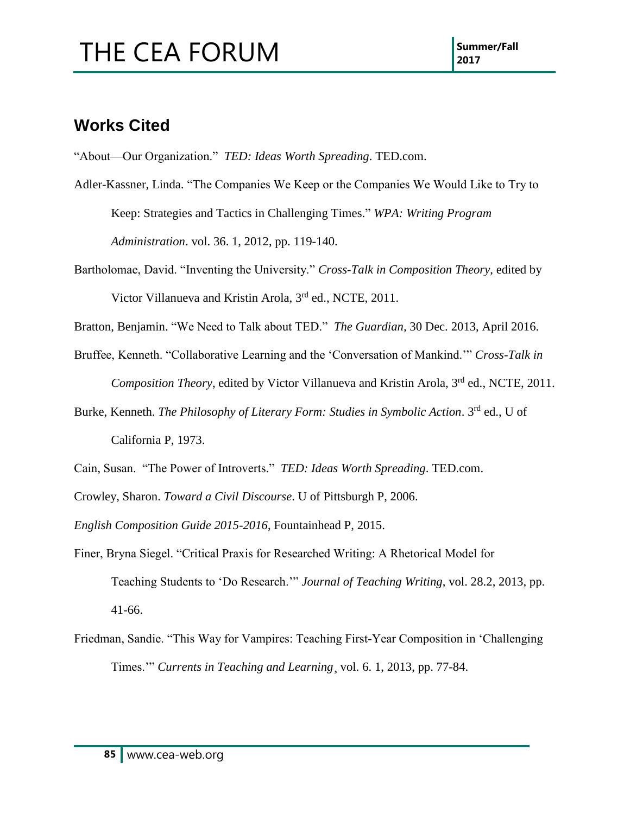### **Works Cited**

"About—Our Organization." *TED: Ideas Worth Spreading*. TED.com.

- Adler-Kassner, Linda. "The Companies We Keep or the Companies We Would Like to Try to Keep: Strategies and Tactics in Challenging Times." *WPA: Writing Program Administration*. vol. 36. 1, 2012, pp. 119-140.
- Bartholomae, David. "Inventing the University." *Cross-Talk in Composition Theory*, edited by Victor Villanueva and Kristin Arola, 3<sup>rd</sup> ed., NCTE, 2011.

Bratton, Benjamin. "We Need to Talk about TED." *The Guardian,* 30 Dec. 2013, April 2016.

- Bruffee, Kenneth. "Collaborative Learning and the 'Conversation of Mankind.'" *Cross-Talk in Composition Theory*, edited by Victor Villanueva and Kristin Arola, 3<sup>rd</sup> ed., NCTE, 2011.
- Burke, Kenneth. *The Philosophy of Literary Form: Studies in Symbolic Action*. 3rd ed., U of California P, 1973.
- Cain, Susan. "The Power of Introverts." *TED: Ideas Worth Spreading*. TED.com.

Crowley, Sharon. *Toward a Civil Discourse*. U of Pittsburgh P, 2006.

*English Composition Guide 2015-2016*, Fountainhead P, 2015.

- Finer, Bryna Siegel. "Critical Praxis for Researched Writing: A Rhetorical Model for Teaching Students to 'Do Research.'" *Journal of Teaching Writing*, vol. 28.2, 2013, pp. 41-66.
- Friedman, Sandie. "This Way for Vampires: Teaching First-Year Composition in 'Challenging Times.'" *Currents in Teaching and Learning*¸ vol. 6. 1, 2013, pp. 77-84.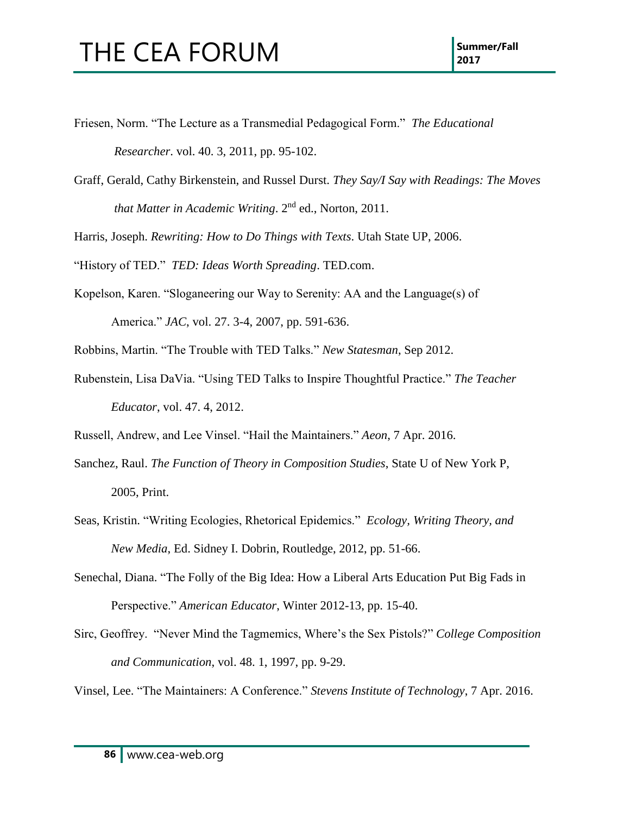- Friesen, Norm. "The Lecture as a Transmedial Pedagogical Form." *The Educational Researcher*. vol. 40. 3, 2011, pp. 95-102.
- Graff, Gerald, Cathy Birkenstein, and Russel Durst. *They Say/I Say with Readings: The Moves that Matter in Academic Writing*. 2nd ed., Norton, 2011.

Harris, Joseph. *Rewriting: How to Do Things with Texts*. Utah State UP, 2006.

- "History of TED." *TED: Ideas Worth Spreading*. TED.com.
- Kopelson, Karen. "Sloganeering our Way to Serenity: AA and the Language(s) of America." *JAC*, vol. 27. 3-4, 2007, pp. 591-636.
- Robbins, Martin. "The Trouble with TED Talks." *New Statesman*, Sep 2012.
- Rubenstein, Lisa DaVia. "Using TED Talks to Inspire Thoughtful Practice." *The Teacher Educator*, vol. 47. 4, 2012.

Russell, Andrew, and Lee Vinsel. "Hail the Maintainers." *Aeon*, 7 Apr. 2016.

- Sanchez, Raul. *The Function of Theory in Composition Studies*, State U of New York P, 2005, Print.
- Seas, Kristin. "Writing Ecologies, Rhetorical Epidemics." *Ecology, Writing Theory, and New Media*, Ed. Sidney I. Dobrin, Routledge, 2012, pp. 51-66.
- Senechal, Diana. "The Folly of the Big Idea: How a Liberal Arts Education Put Big Fads in Perspective." *American Educator*, Winter 2012-13, pp. 15-40.
- Sirc, Geoffrey. "Never Mind the Tagmemics, Where's the Sex Pistols?" *College Composition and Communication*, vol. 48. 1, 1997, pp. 9-29.

Vinsel, Lee. "The Maintainers: A Conference." *Stevens Institute of Technology*, 7 Apr. 2016.